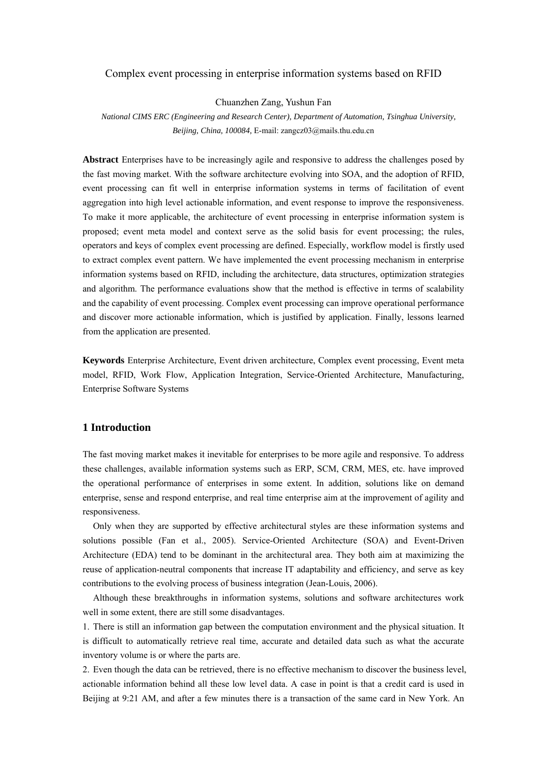## Complex event processing in enterprise information systems based on RFID

Chuanzhen Zang, Yushun Fan

*National CIMS ERC (Engineering and Research Center), Department of Automation, Tsinghua University, Beijing, China, 100084,* E-mail: zangcz03@mails.thu.edu.cn

**Abstract** Enterprises have to be increasingly agile and responsive to address the challenges posed by the fast moving market. With the software architecture evolving into SOA, and the adoption of RFID, event processing can fit well in enterprise information systems in terms of facilitation of event aggregation into high level actionable information, and event response to improve the responsiveness. To make it more applicable, the architecture of event processing in enterprise information system is proposed; event meta model and context serve as the solid basis for event processing; the rules, operators and keys of complex event processing are defined. Especially, workflow model is firstly used to extract complex event pattern. We have implemented the event processing mechanism in enterprise information systems based on RFID, including the architecture, data structures, optimization strategies and algorithm. The performance evaluations show that the method is effective in terms of scalability and the capability of event processing. Complex event processing can improve operational performance and discover more actionable information, which is justified by application. Finally, lessons learned from the application are presented.

**Keywords** Enterprise Architecture, Event driven architecture, Complex event processing, Event meta model, RFID, Work Flow, Application Integration, Service-Oriented Architecture, Manufacturing, Enterprise Software Systems

# **1 Introduction**

The fast moving market makes it inevitable for enterprises to be more agile and responsive. To address these challenges, available information systems such as ERP, SCM, CRM, MES, etc. have improved the operational performance of enterprises in some extent. In addition, solutions like on demand enterprise, sense and respond enterprise, and real time enterprise aim at the improvement of agility and responsiveness.

Only when they are supported by effective architectural styles are these information systems and solutions possible (Fan et al., 2005). Service-Oriented Architecture (SOA) and Event-Driven Architecture (EDA) tend to be dominant in the architectural area. They both aim at maximizing the reuse of application-neutral components that increase IT adaptability and efficiency, and serve as key contributions to the evolving process of business integration (Jean-Louis, 2006).

Although these breakthroughs in information systems, solutions and software architectures work well in some extent, there are still some disadvantages.

1. There is still an information gap between the computation environment and the physical situation. It is difficult to automatically retrieve real time, accurate and detailed data such as what the accurate inventory volume is or where the parts are.

2. Even though the data can be retrieved, there is no effective mechanism to discover the business level, actionable information behind all these low level data. A case in point is that a credit card is used in Beijing at 9:21 AM, and after a few minutes there is a transaction of the same card in New York. An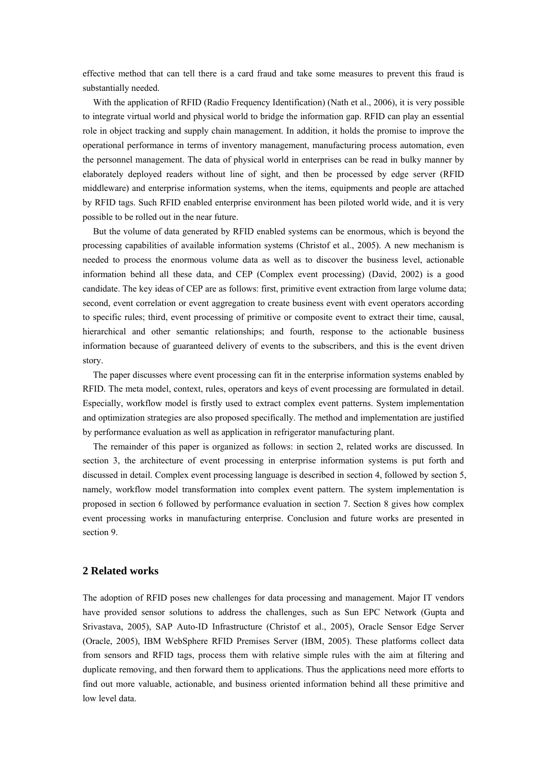effective method that can tell there is a card fraud and take some measures to prevent this fraud is substantially needed.

With the application of RFID (Radio Frequency Identification) (Nath et al., 2006), it is very possible to integrate virtual world and physical world to bridge the information gap. RFID can play an essential role in object tracking and supply chain management. In addition, it holds the promise to improve the operational performance in terms of inventory management, manufacturing process automation, even the personnel management. The data of physical world in enterprises can be read in bulky manner by elaborately deployed readers without line of sight, and then be processed by edge server (RFID middleware) and enterprise information systems, when the items, equipments and people are attached by RFID tags. Such RFID enabled enterprise environment has been piloted world wide, and it is very possible to be rolled out in the near future.

But the volume of data generated by RFID enabled systems can be enormous, which is beyond the processing capabilities of available information systems (Christof et al., 2005). A new mechanism is needed to process the enormous volume data as well as to discover the business level, actionable information behind all these data, and CEP (Complex event processing) (David, 2002) is a good candidate. The key ideas of CEP are as follows: first, primitive event extraction from large volume data; second, event correlation or event aggregation to create business event with event operators according to specific rules; third, event processing of primitive or composite event to extract their time, causal, hierarchical and other semantic relationships; and fourth, response to the actionable business information because of guaranteed delivery of events to the subscribers, and this is the event driven story.

The paper discusses where event processing can fit in the enterprise information systems enabled by RFID. The meta model, context, rules, operators and keys of event processing are formulated in detail. Especially, workflow model is firstly used to extract complex event patterns. System implementation and optimization strategies are also proposed specifically. The method and implementation are justified by performance evaluation as well as application in refrigerator manufacturing plant.

The remainder of this paper is organized as follows: in section 2, related works are discussed. In section 3, the architecture of event processing in enterprise information systems is put forth and discussed in detail. Complex event processing language is described in section 4, followed by section 5, namely, workflow model transformation into complex event pattern. The system implementation is proposed in section 6 followed by performance evaluation in section 7. Section 8 gives how complex event processing works in manufacturing enterprise. Conclusion and future works are presented in section 9.

# **2 Related works**

The adoption of RFID poses new challenges for data processing and management. Major IT vendors have provided sensor solutions to address the challenges, such as Sun EPC Network (Gupta and Srivastava, 2005), SAP Auto-ID Infrastructure (Christof et al., 2005), Oracle Sensor Edge Server (Oracle, 2005), IBM WebSphere RFID Premises Server (IBM, 2005). These platforms collect data from sensors and RFID tags, process them with relative simple rules with the aim at filtering and duplicate removing, and then forward them to applications. Thus the applications need more efforts to find out more valuable, actionable, and business oriented information behind all these primitive and low level data.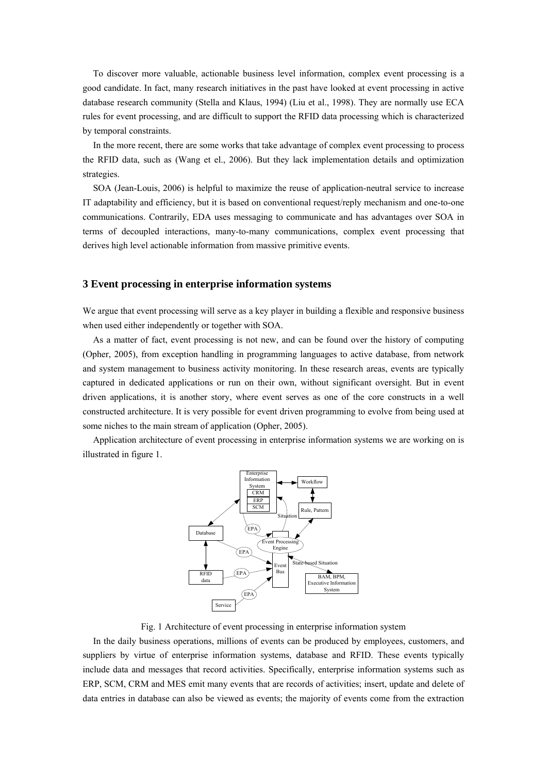To discover more valuable, actionable business level information, complex event processing is a good candidate. In fact, many research initiatives in the past have looked at event processing in active database research community (Stella and Klaus, 1994) (Liu et al., 1998). They are normally use ECA rules for event processing, and are difficult to support the RFID data processing which is characterized by temporal constraints.

In the more recent, there are some works that take advantage of complex event processing to process the RFID data, such as (Wang et el., 2006). But they lack implementation details and optimization strategies.

SOA (Jean-Louis, 2006) is helpful to maximize the reuse of application-neutral service to increase IT adaptability and efficiency, but it is based on conventional request/reply mechanism and one-to-one communications. Contrarily, EDA uses messaging to communicate and has advantages over SOA in terms of decoupled interactions, many-to-many communications, complex event processing that derives high level actionable information from massive primitive events.

## **3 Event processing in enterprise information systems**

We argue that event processing will serve as a key player in building a flexible and responsive business when used either independently or together with SOA.

As a matter of fact, event processing is not new, and can be found over the history of computing (Opher, 2005), from exception handling in programming languages to active database, from network and system management to business activity monitoring. In these research areas, events are typically captured in dedicated applications or run on their own, without significant oversight. But in event driven applications, it is another story, where event serves as one of the core constructs in a well constructed architecture. It is very possible for event driven programming to evolve from being used at some niches to the main stream of application (Opher, 2005).

Application architecture of event processing in enterprise information systems we are working on is illustrated in figure 1.



Fig. 1 Architecture of event processing in enterprise information system

In the daily business operations, millions of events can be produced by employees, customers, and suppliers by virtue of enterprise information systems, database and RFID. These events typically include data and messages that record activities. Specifically, enterprise information systems such as ERP, SCM, CRM and MES emit many events that are records of activities; insert, update and delete of data entries in database can also be viewed as events; the majority of events come from the extraction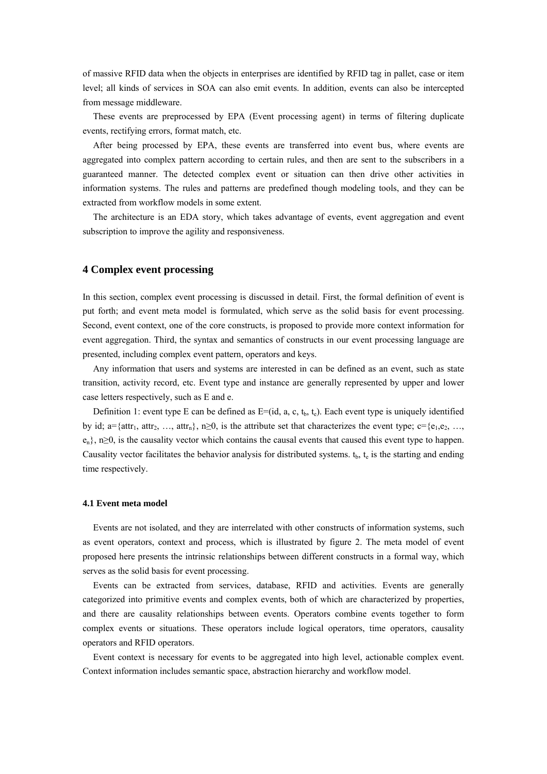of massive RFID data when the objects in enterprises are identified by RFID tag in pallet, case or item level; all kinds of services in SOA can also emit events. In addition, events can also be intercepted from message middleware.

These events are preprocessed by EPA (Event processing agent) in terms of filtering duplicate events, rectifying errors, format match, etc.

After being processed by EPA, these events are transferred into event bus, where events are aggregated into complex pattern according to certain rules, and then are sent to the subscribers in a guaranteed manner. The detected complex event or situation can then drive other activities in information systems. The rules and patterns are predefined though modeling tools, and they can be extracted from workflow models in some extent.

The architecture is an EDA story, which takes advantage of events, event aggregation and event subscription to improve the agility and responsiveness.

## **4 Complex event processing**

In this section, complex event processing is discussed in detail. First, the formal definition of event is put forth; and event meta model is formulated, which serve as the solid basis for event processing. Second, event context, one of the core constructs, is proposed to provide more context information for event aggregation. Third, the syntax and semantics of constructs in our event processing language are presented, including complex event pattern, operators and keys.

Any information that users and systems are interested in can be defined as an event, such as state transition, activity record, etc. Event type and instance are generally represented by upper and lower case letters respectively, such as E and e.

Definition 1: event type E can be defined as  $E=[id, a, c, t_b, t_c)$ . Each event type is uniquely identified by id; a={attr<sub>1</sub>, attr<sub>2</sub>, …, attr<sub>n</sub>}, n≥0, is the attribute set that characterizes the event type; c={e<sub>1</sub>,e<sub>2</sub>, …,  $e_n$ , n≥0, is the causality vector which contains the causal events that caused this event type to happen. Causality vector facilitates the behavior analysis for distributed systems.  $t<sub>b</sub>$ ,  $t<sub>e</sub>$  is the starting and ending time respectively.

#### **4.1 Event meta model**

Events are not isolated, and they are interrelated with other constructs of information systems, such as event operators, context and process, which is illustrated by figure 2. The meta model of event proposed here presents the intrinsic relationships between different constructs in a formal way, which serves as the solid basis for event processing.

Events can be extracted from services, database, RFID and activities. Events are generally categorized into primitive events and complex events, both of which are characterized by properties, and there are causality relationships between events. Operators combine events together to form complex events or situations. These operators include logical operators, time operators, causality operators and RFID operators.

Event context is necessary for events to be aggregated into high level, actionable complex event. Context information includes semantic space, abstraction hierarchy and workflow model.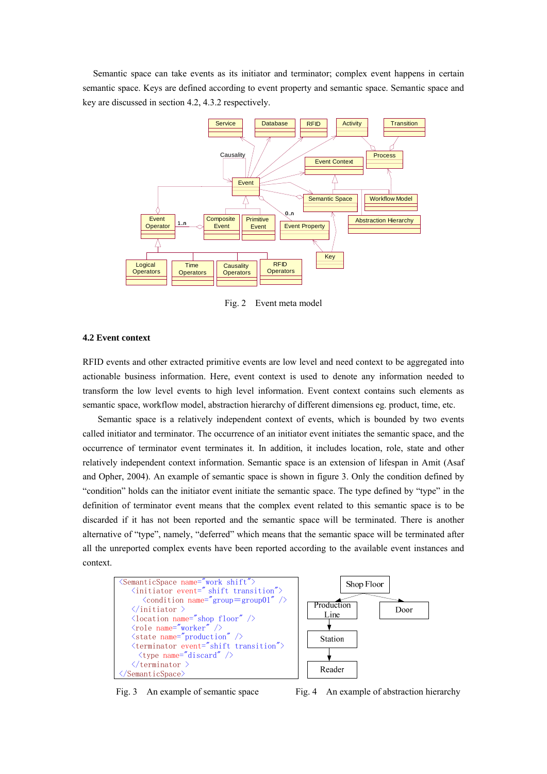Semantic space can take events as its initiator and terminator; complex event happens in certain semantic space. Keys are defined according to event property and semantic space. Semantic space and key are discussed in section 4.2, 4.3.2 respectively.



Fig. 2 Event meta model

## **4.2 Event context**

RFID events and other extracted primitive events are low level and need context to be aggregated into actionable business information. Here, event context is used to denote any information needed to transform the low level events to high level information. Event context contains such elements as semantic space, workflow model, abstraction hierarchy of different dimensions eg. product, time, etc.

 Semantic space is a relatively independent context of events, which is bounded by two events called initiator and terminator. The occurrence of an initiator event initiates the semantic space, and the occurrence of terminator event terminates it. In addition, it includes location, role, state and other relatively independent context information. Semantic space is an extension of lifespan in Amit (Asaf and Opher, 2004). An example of semantic space is shown in figure 3. Only the condition defined by "condition" holds can the initiator event initiate the semantic space. The type defined by "type" in the definition of terminator event means that the complex event related to this semantic space is to be discarded if it has not been reported and the semantic space will be terminated. There is another alternative of "type", namely, "deferred" which means that the semantic space will be terminated after all the unreported complex events have been reported according to the available event instances and context.



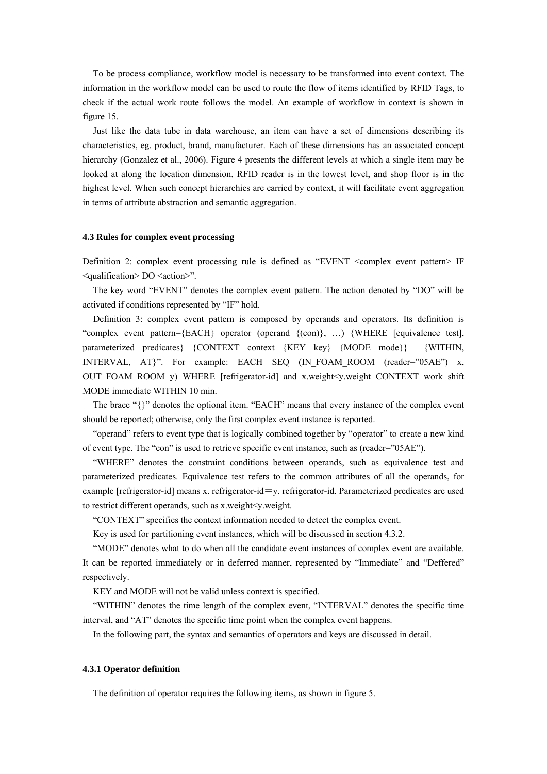To be process compliance, workflow model is necessary to be transformed into event context. The information in the workflow model can be used to route the flow of items identified by RFID Tags, to check if the actual work route follows the model. An example of workflow in context is shown in figure 15.

Just like the data tube in data warehouse, an item can have a set of dimensions describing its characteristics, eg. product, brand, manufacturer. Each of these dimensions has an associated concept hierarchy (Gonzalez et al., 2006). Figure 4 presents the different levels at which a single item may be looked at along the location dimension. RFID reader is in the lowest level, and shop floor is in the highest level. When such concept hierarchies are carried by context, it will facilitate event aggregation in terms of attribute abstraction and semantic aggregation.

## **4.3 Rules for complex event processing**

Definition 2: complex event processing rule is defined as "EVENT <complex event pattern> IF <qualification> DO <action>".

The key word "EVENT" denotes the complex event pattern. The action denoted by "DO" will be activated if conditions represented by "IF" hold.

Definition 3: complex event pattern is composed by operands and operators. Its definition is "complex event pattern={EACH} operator (operand {(con)}, …) {WHERE [equivalence test], parameterized predicates} {CONTEXT context {KEY key} {MODE mode}} {WITHIN, INTERVAL, AT}". For example: EACH SEQ (IN\_FOAM\_ROOM (reader="05AE") x, OUT FOAM ROOM y) WHERE [refrigerator-id] and x.weight $\lt$ y.weight CONTEXT work shift MODE immediate WITHIN 10 min.

The brace "{}" denotes the optional item. "EACH" means that every instance of the complex event should be reported; otherwise, only the first complex event instance is reported.

"operand" refers to event type that is logically combined together by "operator" to create a new kind of event type. The "con" is used to retrieve specific event instance, such as (reader="05AE").

"WHERE" denotes the constraint conditions between operands, such as equivalence test and parameterized predicates. Equivalence test refers to the common attributes of all the operands, for example [refrigerator-id] means x. refrigerator-id=y. refrigerator-id. Parameterized predicates are used to restrict different operands, such as x.weight<y.weight.

"CONTEXT" specifies the context information needed to detect the complex event.

Key is used for partitioning event instances, which will be discussed in section 4.3.2.

"MODE" denotes what to do when all the candidate event instances of complex event are available. It can be reported immediately or in deferred manner, represented by "Immediate" and "Deffered" respectively.

KEY and MODE will not be valid unless context is specified.

"WITHIN" denotes the time length of the complex event, "INTERVAL" denotes the specific time interval, and "AT" denotes the specific time point when the complex event happens.

In the following part, the syntax and semantics of operators and keys are discussed in detail.

#### **4.3.1 Operator definition**

The definition of operator requires the following items, as shown in figure 5.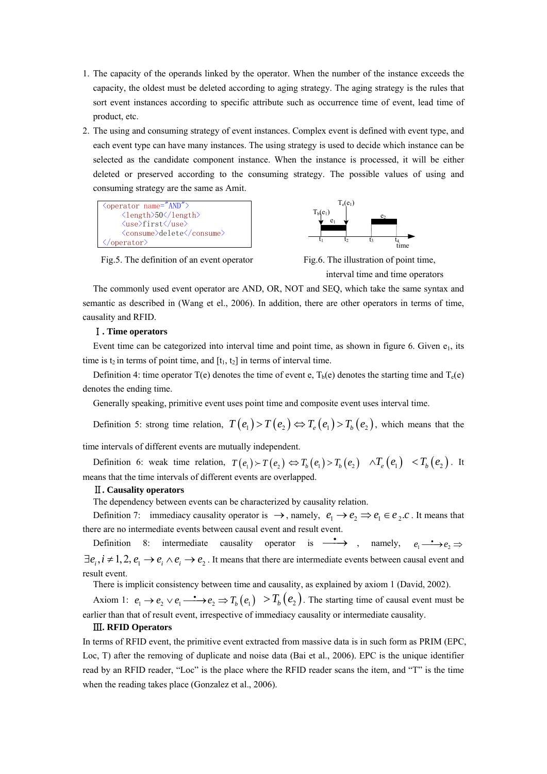- 1. The capacity of the operands linked by the operator. When the number of the instance exceeds the capacity, the oldest must be deleted according to aging strategy. The aging strategy is the rules that sort event instances according to specific attribute such as occurrence time of event, lead time of product, etc.
- 2. The using and consuming strategy of event instances. Complex event is defined with event type, and each event type can have many instances. The using strategy is used to decide which instance can be selected as the candidate component instance. When the instance is processed, it will be either deleted or preserved according to the consuming strategy. The possible values of using and consuming strategy are the same as Amit.



Fig.5. The definition of an event operator Fig.6. The illustration of point time,



interval time and time operators

The commonly used event operator are AND, OR, NOT and SEQ, which take the same syntax and semantic as described in (Wang et el., 2006). In addition, there are other operators in terms of time, causality and RFID.

### Ⅰ**. Time operators**

Event time can be categorized into interval time and point time, as shown in figure 6. Given  $e_1$ , its time is  $t_2$  in terms of point time, and  $[t_1, t_2]$  in terms of interval time.

Definition 4: time operator T(e) denotes the time of event e,  $T_b$ (e) denotes the starting time and  $T_e$ (e) denotes the ending time.

Generally speaking, primitive event uses point time and composite event uses interval time.

Definition 5: strong time relation,  $T(e_1) > T(e_2) \Leftrightarrow T_e(e_1) > T_h(e_2)$ , which means that the

time intervals of different events are mutually independent.

Definition 6: weak time relation,  $T(e_1) > T(e_2) \Leftrightarrow T_b(e_1) > T_b(e_2) \quad \land T_e(e_1) < T_b(e_2)$ . It means that the time intervals of different events are overlapped.

#### Ⅱ**. Causality operators**

The dependency between events can be characterized by causality relation.

Definition 7: immediacy causality operator is  $\to$ , namely,  $e_1 \to e_2 \Rightarrow e_1 \in e_2.c$ . It means that there are no intermediate events between causal event and result event.

Definition 8: intermediate causality operator is  $\longrightarrow$ , namely,  $e_1 \longrightarrow e_2 \Rightarrow$  $\exists e_i, i \neq 1, 2, e_1 \rightarrow e_i \land e_i \rightarrow e_2$ . It means that there are intermediate events between causal event and result event.

There is implicit consistency between time and causality, as explained by axiom 1 (David, 2002).

Axiom 1:  $e_1 \rightarrow e_2 \vee e_1 \stackrel{\bullet}{\longrightarrow} e_2 \Rightarrow T_b(e_1) > T_b(e_2)$ . The starting time of causal event must be earlier than that of result event, irrespective of immediacy causality or intermediate causality.

## Ⅲ**. RFID Operators**

In terms of RFID event, the primitive event extracted from massive data is in such form as PRIM (EPC, Loc, T) after the removing of duplicate and noise data (Bai et al., 2006). EPC is the unique identifier read by an RFID reader, "Loc" is the place where the RFID reader scans the item, and "T" is the time when the reading takes place (Gonzalez et al., 2006).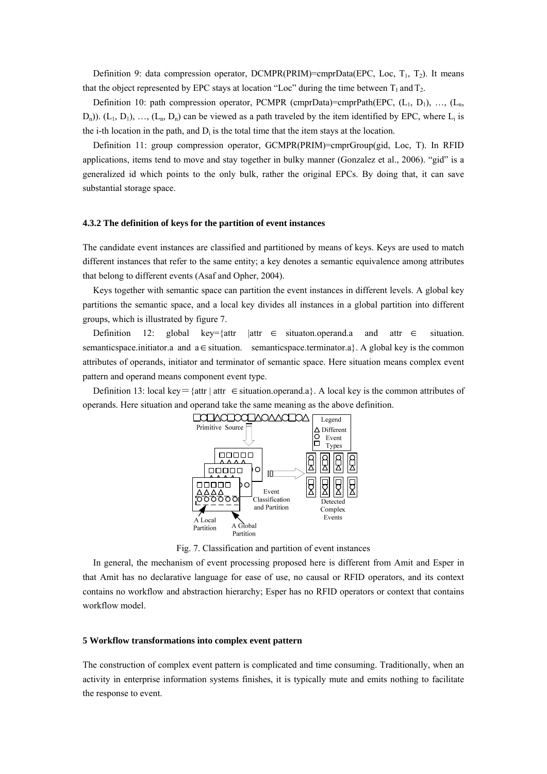Definition 9: data compression operator, DCMPR(PRIM)=cmprData(EPC, Loc,  $T_1$ ,  $T_2$ ). It means that the object represented by EPC stays at location "Loc" during the time between  $T_1$  and  $T_2$ .

Definition 10: path compression operator, PCMPR (cmprData)=cmprPath(EPC,  $(L_1, D_1), ..., (L_n)$  $(D_n)$ ). (L<sub>1</sub>, D<sub>1</sub>), ..., (L<sub>n</sub>, D<sub>n</sub>) can be viewed as a path traveled by the item identified by EPC, where L<sub>i</sub> is the i-th location in the path, and  $D_i$  is the total time that the item stays at the location.

Definition 11: group compression operator, GCMPR(PRIM)=cmprGroup(gid, Loc, T). In RFID applications, items tend to move and stay together in bulky manner (Gonzalez et al., 2006). "gid" is a generalized id which points to the only bulk, rather the original EPCs. By doing that, it can save substantial storage space.

#### **4.3.2 The definition of keys for the partition of event instances**

The candidate event instances are classified and partitioned by means of keys. Keys are used to match different instances that refer to the same entity; a key denotes a semantic equivalence among attributes that belong to different events (Asaf and Opher, 2004).

Keys together with semantic space can partition the event instances in different levels. A global key partitions the semantic space, and a local key divides all instances in a global partition into different groups, which is illustrated by figure 7.

Definition 12: global key={attr |attr  $\in$  situation.operand.a and attr  $\in$  situation. semanticspace.initiator.a and  $a \in$  situation. semanticspace.terminator.a}. A global key is the common attributes of operands, initiator and terminator of semantic space. Here situation means complex event pattern and operand means component event type. ∈

Definition 13: local key={attr | attr ∈situation.operand.a}. A local key is the common attributes of operands. Here situation and operand take the same meaning as the above definition.



Fig. 7. Classification and partition of event instances

In general, the mechanism of event processing proposed here is different from Amit and Esper in that Amit has no declarative language for ease of use, no causal or RFID operators, and its context contains no workflow and abstraction hierarchy; Esper has no RFID operators or context that contains workflow model.

# **5 Workflow transformations into complex event pattern**

The construction of complex event pattern is complicated and time consuming. Traditionally, when an activity in enterprise information systems finishes, it is typically mute and emits nothing to facilitate the response to event.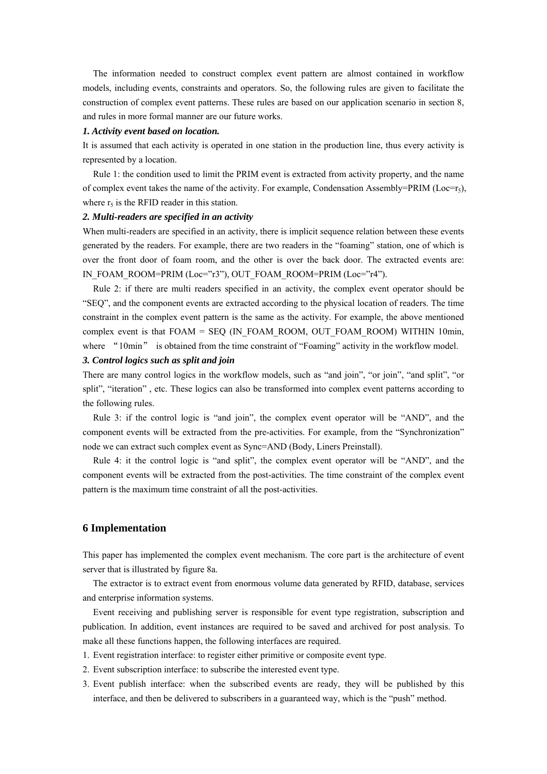The information needed to construct complex event pattern are almost contained in workflow models, including events, constraints and operators. So, the following rules are given to facilitate the construction of complex event patterns. These rules are based on our application scenario in section 8, and rules in more formal manner are our future works.

#### *1. Activity event based on location.*

It is assumed that each activity is operated in one station in the production line, thus every activity is represented by a location.

Rule 1: the condition used to limit the PRIM event is extracted from activity property, and the name of complex event takes the name of the activity. For example, Condensation Assembly=PRIM (Loc=r<sub>5</sub>), where  $r<sub>5</sub>$  is the RFID reader in this station.

## *2. Multi-readers are specified in an activity*

When multi-readers are specified in an activity, there is implicit sequence relation between these events generated by the readers. For example, there are two readers in the "foaming" station, one of which is over the front door of foam room, and the other is over the back door. The extracted events are: IN\_FOAM\_ROOM=PRIM (Loc="r3"), OUT\_FOAM\_ROOM=PRIM (Loc="r4").

Rule 2: if there are multi readers specified in an activity, the complex event operator should be "SEQ", and the component events are extracted according to the physical location of readers. The time constraint in the complex event pattern is the same as the activity. For example, the above mentioned complex event is that FOAM = SEQ (IN\_FOAM\_ROOM, OUT\_FOAM\_ROOM) WITHIN 10min, where "10min" is obtained from the time constraint of "Foaming" activity in the workflow model.

## *3. Control logics such as split and join*

There are many control logics in the workflow models, such as "and join", "or join", "and split", "or split", "iteration", etc. These logics can also be transformed into complex event patterns according to the following rules.

Rule 3: if the control logic is "and join", the complex event operator will be "AND", and the component events will be extracted from the pre-activities. For example, from the "Synchronization" node we can extract such complex event as Sync=AND (Body, Liners Preinstall).

Rule 4: it the control logic is "and split", the complex event operator will be "AND", and the component events will be extracted from the post-activities. The time constraint of the complex event pattern is the maximum time constraint of all the post-activities.

## **6 Implementation**

This paper has implemented the complex event mechanism. The core part is the architecture of event server that is illustrated by figure 8a.

The extractor is to extract event from enormous volume data generated by RFID, database, services and enterprise information systems.

Event receiving and publishing server is responsible for event type registration, subscription and publication. In addition, event instances are required to be saved and archived for post analysis. To make all these functions happen, the following interfaces are required.

- 1. Event registration interface: to register either primitive or composite event type.
- 2. Event subscription interface: to subscribe the interested event type.
- 3. Event publish interface: when the subscribed events are ready, they will be published by this interface, and then be delivered to subscribers in a guaranteed way, which is the "push" method.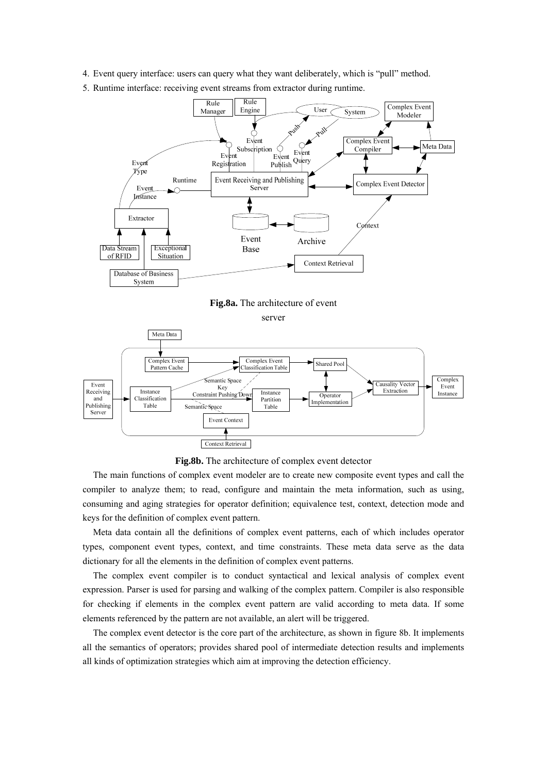- 4. Event query interface: users can query what they want deliberately, which is "pull" method.
- 5. Runtime interface: receiving event streams from extractor during runtime.





**Fig.8b.** The architecture of complex event detector

The main functions of complex event modeler are to create new composite event types and call the compiler to analyze them; to read, configure and maintain the meta information, such as using, consuming and aging strategies for operator definition; equivalence test, context, detection mode and keys for the definition of complex event pattern.

Meta data contain all the definitions of complex event patterns, each of which includes operator types, component event types, context, and time constraints. These meta data serve as the data dictionary for all the elements in the definition of complex event patterns.

The complex event compiler is to conduct syntactical and lexical analysis of complex event expression. Parser is used for parsing and walking of the complex pattern. Compiler is also responsible for checking if elements in the complex event pattern are valid according to meta data. If some elements referenced by the pattern are not available, an alert will be triggered.

The complex event detector is the core part of the architecture, as shown in figure 8b. It implements all the semantics of operators; provides shared pool of intermediate detection results and implements all kinds of optimization strategies which aim at improving the detection efficiency.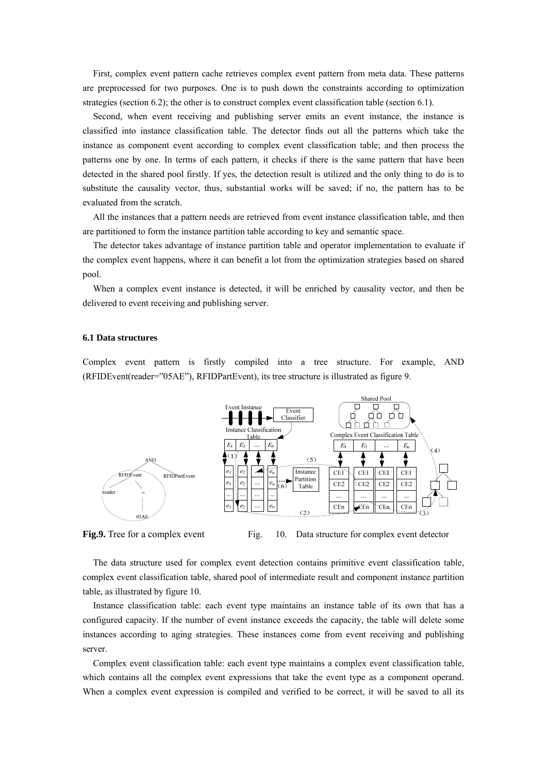First, complex event pattern cache retrieves complex event pattern from meta data. These patterns are preprocessed for two purposes. One is to push down the constraints according to optimization strategies (section 6.2); the other is to construct complex event classification table (section 6.1).

Second, when event receiving and publishing server emits an event instance, the instance is classified into instance classification table. The detector finds out all the patterns which take the instance as component event according to complex event classification table; and then process the patterns one by one. In terms of each pattern, it checks if there is the same pattern that have been detected in the shared pool firstly. If yes, the detection result is utilized and the only thing to do is to substitute the causality vector, thus, substantial works will be saved; if no, the pattern has to be evaluated from the scratch.

All the instances that a pattern needs are retrieved from event instance classification table, and then are partitioned to form the instance partition table according to key and semantic space.

The detector takes advantage of instance partition table and operator implementation to evaluate if the complex event happens, where it can benefit a lot from the optimization strategies based on shared pool.

When a complex event instance is detected, it will be enriched by causality vector, and then be delivered to event receiving and publishing server.

#### **6.1 Data structures**

Complex event pattern is firstly compiled into a tree structure. For example, AND (RFIDEvent(reader="05AE"), RFIDPartEvent), its tree structure is illustrated as figure 9.



**Fig.9.** Tree for a complex event Fig. 10. Data structure for complex event detector

The data structure used for complex event detection contains primitive event classification table, complex event classification table, shared pool of intermediate result and component instance partition table, as illustrated by figure 10.

Instance classification table: each event type maintains an instance table of its own that has a configured capacity. If the number of event instance exceeds the capacity, the table will delete some instances according to aging strategies. These instances come from event receiving and publishing server.

Complex event classification table: each event type maintains a complex event classification table, which contains all the complex event expressions that take the event type as a component operand. When a complex event expression is compiled and verified to be correct, it will be saved to all its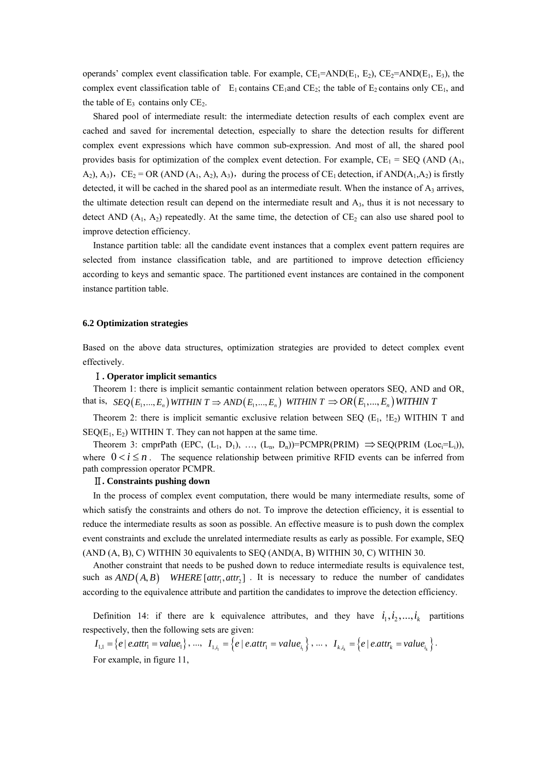operands' complex event classification table. For example,  $CE_1 = AND(E_1, E_2)$ ,  $CE_2 = AND(E_1, E_3)$ , the complex event classification table of  $E_1$  contains CE<sub>1</sub>and CE<sub>2</sub>; the table of E<sub>2</sub> contains only CE<sub>1</sub>, and the table of  $E_3$  contains only  $CE_2$ .

Shared pool of intermediate result: the intermediate detection results of each complex event are cached and saved for incremental detection, especially to share the detection results for different complex event expressions which have common sub-expression. And most of all, the shared pool provides basis for optimization of the complex event detection. For example,  $CE_1 =$  SEQ (AND (A<sub>1</sub>,  $A_2$ ),  $A_3$ ),  $CE_2 = OR$  (AND ( $A_1$ ,  $A_2$ ),  $A_3$ ), during the process of CE<sub>1</sub> detection, if AND( $A_1$ ,  $A_2$ ) is firstly detected, it will be cached in the shared pool as an intermediate result. When the instance of  $A_3$  arrives, the ultimate detection result can depend on the intermediate result and A3, thus it is not necessary to detect AND  $(A_1, A_2)$  repeatedly. At the same time, the detection of  $CE_2$  can also use shared pool to improve detection efficiency.

Instance partition table: all the candidate event instances that a complex event pattern requires are selected from instance classification table, and are partitioned to improve detection efficiency according to keys and semantic space. The partitioned event instances are contained in the component instance partition table.

#### **6.2 Optimization strategies**

Based on the above data structures, optimization strategies are provided to detect complex event effectively.

## Ⅰ**. Operator implicit semantics**

Theorem 1: there is implicit semantic containment relation between operators SEQ, AND and OR, that is,  $\text{SEQ}(E_1, ..., E_n)$  WITHIN  $T \Rightarrow AND(E_1, ..., E_n)$  WITHIN  $T \Rightarrow OR(E_1, ..., E_n)$  WITHIN T

Theorem 2: there is implicit semantic exclusive relation between SEQ  $(E_1, E_2)$  WITHIN T and  $SEQ(E_1, E_2)$  WITHIN T. They can not happen at the same time.

Theorem 3: cmprPath (EPC,  $(L_1, D_1)$ , …,  $(L_n, D_n)$ )=PCMPR(PRIM)  $\Rightarrow$  SEQ(PRIM (Loc<sub>i</sub>=L<sub>i</sub>)), where  $0 < i \leq n$ . The sequence relationship between primitive RFID events can be inferred from path compression operator PCMPR.

### Ⅱ**. Constraints pushing down**

In the process of complex event computation, there would be many intermediate results, some of which satisfy the constraints and others do not. To improve the detection efficiency, it is essential to reduce the intermediate results as soon as possible. An effective measure is to push down the complex event constraints and exclude the unrelated intermediate results as early as possible. For example, SEQ (AND (A, B), C) WITHIN 30 equivalents to SEQ (AND(A, B) WITHIN 30, C) WITHIN 30.

Another constraint that needs to be pushed down to reduce intermediate results is equivalence test, such as  $AND(A, B)$  WHERE  $[attr_1, attr_2]$ . It is necessary to reduce the number of candidates according to the equivalence attribute and partition the candidates to improve the detection efficiency.

Definition 14: if there are k equivalence attributes, and they have  $i_1, i_2, ..., i_k$  partitions respectively, then the following sets are given:

 $I_{1,1} = \{e \mid e. \text{attr}_1 = \text{value}_1\}, \dots, I_{1,i_1} = \{e \mid e. \text{attr}_1 = \text{value}_{i_1}\}, \dots, I_{k,i_k} = \{e \mid e. \text{attr}_k = \text{value}_{i_k}\}.$ For example, in figure 11,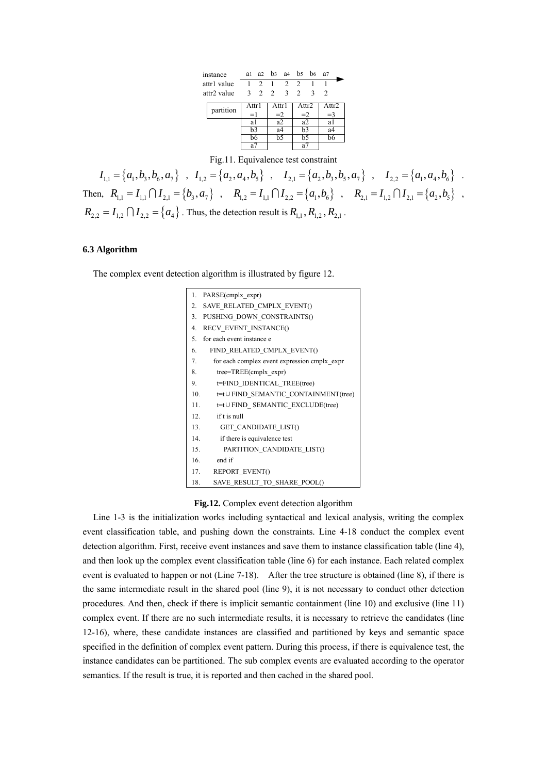| instance    |           | a1    |             | a2 b3 a4 b5 b6 |                |               |              | a <sub>7</sub>                |  |
|-------------|-----------|-------|-------------|----------------|----------------|---------------|--------------|-------------------------------|--|
| attr1 value |           |       | $1 \t2 \t1$ |                | 2              | $\mathcal{L}$ |              |                               |  |
| attr2 value |           |       |             | 3 2 2          | 3 <sup>7</sup> | 2             | $\mathbf{3}$ | $\mathfrak{D}_{\mathfrak{p}}$ |  |
|             | partition | Attr1 |             | Attr1          |                | Attr2         |              | Attr2                         |  |
|             |           | $=1$  |             | $=2$           |                | $=2$          |              | $=$ 3                         |  |
|             |           | al    |             | a2             |                | a2            |              | al                            |  |
|             |           | b3    |             | a4             |                | b3            |              | a4                            |  |
|             |           | b6    |             | b5             |                | b5            |              | b6                            |  |
|             |           | a7    |             |                |                | a7            |              |                               |  |

Fig.11. Equivalence test constraint

 $I_{1,1} = \{a_1, b_3, b_6, a_7\}$ ,  $I_{1,2} = \{a_2, a_4, b_5\}$ ,  $I_{2,1} = \{a_2, b_3, b_5, a_7\}$ ,  $I_{2,2} = \{a_1, a_4, b_6\}$ . Then,  $R_{1,1} = I_{1,1} \cap I_{2,1} = \{b_3, a_7\}$ ,  $R_{1,2} = I_{1,1} \cap I_{2,2} = \{a_1, b_6\}$ ,  $R_{2,1} = I_{1,2} \cap I_{2,1} = \{a_2, b_5\}$ ,  $R_{2,2} = I_{1,2} \bigcap I_{2,2} = \{a_4\}$ . Thus, the detection result is  $R_{1,1}$ ,  $R_{1,2}$ ,  $R_{2,1}$ .

## **6.3 Algorithm**

The complex event detection algorithm is illustrated by figure 12.

| 1.  | PARSE(cmplx expr)                            |  |  |  |  |
|-----|----------------------------------------------|--|--|--|--|
| 2.  | SAVE RELATED CMPLX EVENT()                   |  |  |  |  |
| 3.  | PUSHING_DOWN_CONSTRAINTS()                   |  |  |  |  |
| 4.  | RECV EVENT INSTANCE()                        |  |  |  |  |
| 5.  | for each event instance e                    |  |  |  |  |
| 6.  | FIND RELATED CMPLX EVENT()                   |  |  |  |  |
| 7.  | for each complex event expression cmplx expr |  |  |  |  |
| 8.  | $tree = TREE$ (cmplx expr)                   |  |  |  |  |
| 9.  | t=FIND IDENTICAL TREE(tree)                  |  |  |  |  |
| 10. | t=t∪FIND SEMANTIC CONTAINMENT(tree)          |  |  |  |  |
| 11. | t=t∪FIND SEMANTIC EXCLUDE(tree)              |  |  |  |  |
| 12. | if t is null                                 |  |  |  |  |
| 13. | <b>GET CANDIDATE LIST()</b>                  |  |  |  |  |
| 14. | if there is equivalence test                 |  |  |  |  |
| 15. | PARTITION CANDIDATE LIST()                   |  |  |  |  |
| 16. | end if                                       |  |  |  |  |
|     | 17.<br><b>REPORT EVENT()</b>                 |  |  |  |  |
| 18. | SAVE RESULT TO SHARE POOL()                  |  |  |  |  |

## **Fig.12.** Complex event detection algorithm

Line 1-3 is the initialization works including syntactical and lexical analysis, writing the complex event classification table, and pushing down the constraints. Line 4-18 conduct the complex event detection algorithm. First, receive event instances and save them to instance classification table (line 4), and then look up the complex event classification table (line 6) for each instance. Each related complex event is evaluated to happen or not (Line 7-18). After the tree structure is obtained (line 8), if there is the same intermediate result in the shared pool (line 9), it is not necessary to conduct other detection procedures. And then, check if there is implicit semantic containment (line 10) and exclusive (line 11) complex event. If there are no such intermediate results, it is necessary to retrieve the candidates (line 12-16), where, these candidate instances are classified and partitioned by keys and semantic space specified in the definition of complex event pattern. During this process, if there is equivalence test, the instance candidates can be partitioned. The sub complex events are evaluated according to the operator semantics. If the result is true, it is reported and then cached in the shared pool.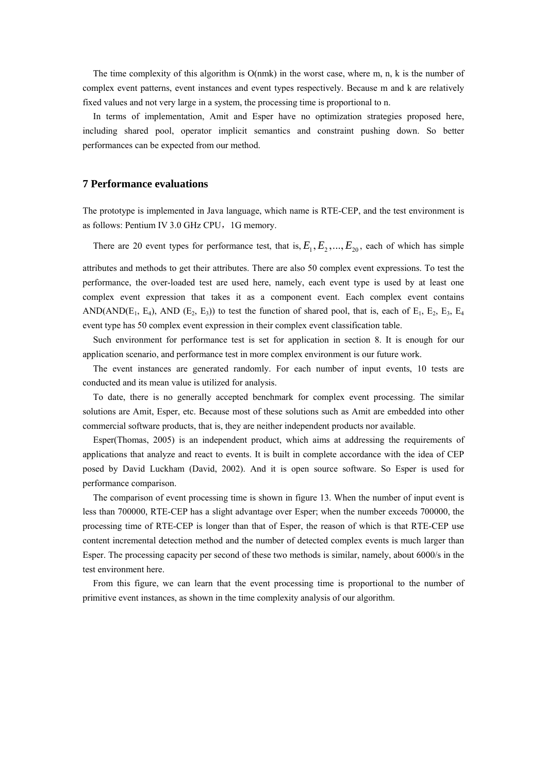The time complexity of this algorithm is  $O(mmk)$  in the worst case, where m, n, k is the number of complex event patterns, event instances and event types respectively. Because m and k are relatively fixed values and not very large in a system, the processing time is proportional to n.

In terms of implementation, Amit and Esper have no optimization strategies proposed here, including shared pool, operator implicit semantics and constraint pushing down. So better performances can be expected from our method.

### **7 Performance evaluations**

The prototype is implemented in Java language, which name is RTE-CEP, and the test environment is as follows: Pentium IV 3.0 GHz CPU, 1G memory.

There are 20 event types for performance test, that is,  $E_1, E_2, ..., E_{20}$ , each of which has simple

attributes and methods to get their attributes. There are also 50 complex event expressions. To test the performance, the over-loaded test are used here, namely, each event type is used by at least one complex event expression that takes it as a component event. Each complex event contains AND(AND( $E_1$ ,  $E_4$ ), AND ( $E_2$ ,  $E_3$ )) to test the function of shared pool, that is, each of  $E_1$ ,  $E_2$ ,  $E_3$ ,  $E_4$ event type has 50 complex event expression in their complex event classification table.

Such environment for performance test is set for application in section 8. It is enough for our application scenario, and performance test in more complex environment is our future work.

The event instances are generated randomly. For each number of input events, 10 tests are conducted and its mean value is utilized for analysis.

To date, there is no generally accepted benchmark for complex event processing. The similar solutions are Amit, Esper, etc. Because most of these solutions such as Amit are embedded into other commercial software products, that is, they are neither independent products nor available.

Esper(Thomas, 2005) is an independent product, which aims at addressing the requirements of applications that analyze and react to events. It is built in complete accordance with the idea of CEP posed by David Luckham (David, 2002). And it is open source software. So Esper is used for performance comparison.

The comparison of event processing time is shown in figure 13. When the number of input event is less than 700000, RTE-CEP has a slight advantage over Esper; when the number exceeds 700000, the processing time of RTE-CEP is longer than that of Esper, the reason of which is that RTE-CEP use content incremental detection method and the number of detected complex events is much larger than Esper. The processing capacity per second of these two methods is similar, namely, about 6000/s in the test environment here.

From this figure, we can learn that the event processing time is proportional to the number of primitive event instances, as shown in the time complexity analysis of our algorithm.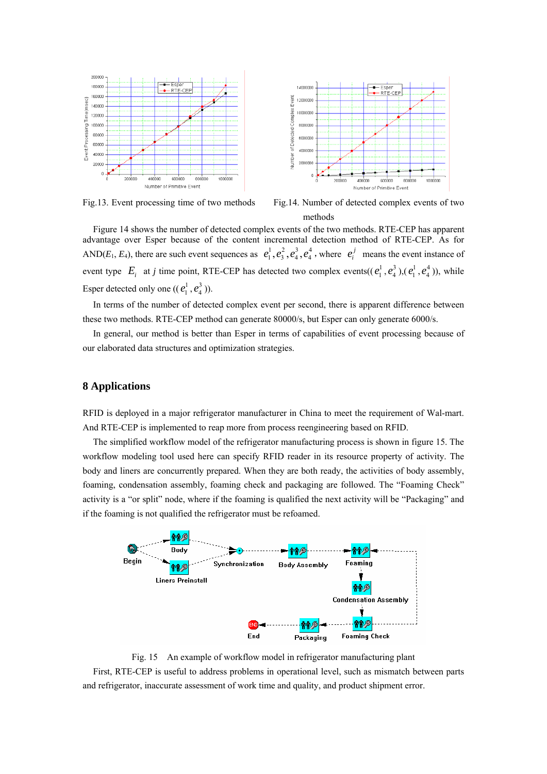

Fig.13. Event processing time of two methods Fig.14. Number of detected complex events of two methods

Figure 14 shows the number of detected complex events of the two methods. RTE-CEP has apparent advantage over Esper because of the content incremental detection method of RTE-CEP. As for AND( $E_1, E_4$ ), there are such event sequences as  $e_1^1, e_3^2, e_4^3, e_4^4$ , where  $e_i^j$  means the event instance of event type  $E_i$  at *j* time point, RTE-CEP has detected two complex events( $(e_1^1, e_4^3)$ , $(e_1^1, e_4^4)$ ), while Esper detected only one  $((e_1^1, e_4^3))$ .

In terms of the number of detected complex event per second, there is apparent difference between these two methods. RTE-CEP method can generate 80000/s, but Esper can only generate 6000/s.

In general, our method is better than Esper in terms of capabilities of event processing because of our elaborated data structures and optimization strategies.

## **8 Applications**

RFID is deployed in a major refrigerator manufacturer in China to meet the requirement of Wal-mart. And RTE-CEP is implemented to reap more from process reengineering based on RFID.

The simplified workflow model of the refrigerator manufacturing process is shown in figure 15. The workflow modeling tool used here can specify RFID reader in its resource property of activity. The body and liners are concurrently prepared. When they are both ready, the activities of body assembly, foaming, condensation assembly, foaming check and packaging are followed. The "Foaming Check" activity is a "or split" node, where if the foaming is qualified the next activity will be "Packaging" and if the foaming is not qualified the refrigerator must be refoamed.



Fig. 15 An example of workflow model in refrigerator manufacturing plant

First, RTE-CEP is useful to address problems in operational level, such as mismatch between parts and refrigerator, inaccurate assessment of work time and quality, and product shipment error.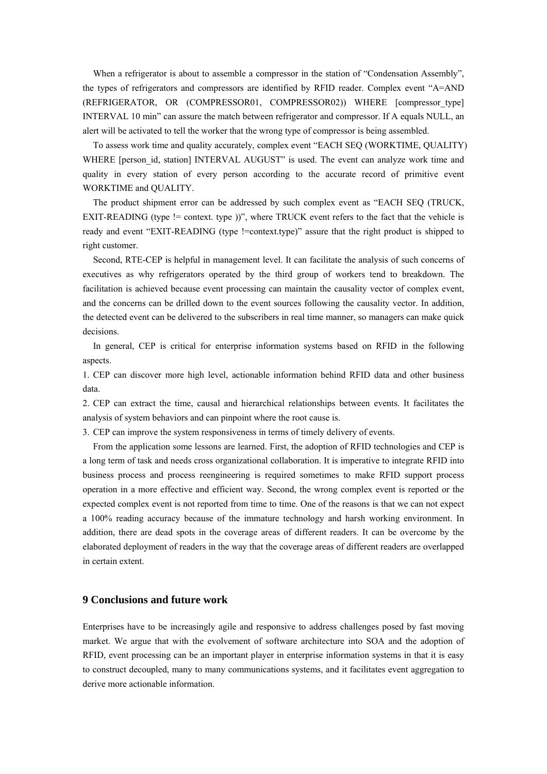When a refrigerator is about to assemble a compressor in the station of "Condensation Assembly", the types of refrigerators and compressors are identified by RFID reader. Complex event "A=AND (REFRIGERATOR, OR (COMPRESSOR01, COMPRESSOR02)) WHERE [compressor type] INTERVAL 10 min" can assure the match between refrigerator and compressor. If A equals NULL, an alert will be activated to tell the worker that the wrong type of compressor is being assembled.

To assess work time and quality accurately, complex event "EACH SEQ (WORKTIME, QUALITY) WHERE [person\_id, station] INTERVAL AUGUST" is used. The event can analyze work time and quality in every station of every person according to the accurate record of primitive event WORKTIME and QUALITY.

The product shipment error can be addressed by such complex event as "EACH SEQ (TRUCK, EXIT-READING (type != context. type ))", where TRUCK event refers to the fact that the vehicle is ready and event "EXIT-READING (type != context.type)" assure that the right product is shipped to right customer.

Second, RTE-CEP is helpful in management level. It can facilitate the analysis of such concerns of executives as why refrigerators operated by the third group of workers tend to breakdown. The facilitation is achieved because event processing can maintain the causality vector of complex event, and the concerns can be drilled down to the event sources following the causality vector. In addition, the detected event can be delivered to the subscribers in real time manner, so managers can make quick decisions.

In general, CEP is critical for enterprise information systems based on RFID in the following aspects.

1. CEP can discover more high level, actionable information behind RFID data and other business data.

2. CEP can extract the time, causal and hierarchical relationships between events. It facilitates the analysis of system behaviors and can pinpoint where the root cause is.

3. CEP can improve the system responsiveness in terms of timely delivery of events.

From the application some lessons are learned. First, the adoption of RFID technologies and CEP is a long term of task and needs cross organizational collaboration. It is imperative to integrate RFID into business process and process reengineering is required sometimes to make RFID support process operation in a more effective and efficient way. Second, the wrong complex event is reported or the expected complex event is not reported from time to time. One of the reasons is that we can not expect a 100% reading accuracy because of the immature technology and harsh working environment. In addition, there are dead spots in the coverage areas of different readers. It can be overcome by the elaborated deployment of readers in the way that the coverage areas of different readers are overlapped in certain extent.

# **9 Conclusions and future work**

Enterprises have to be increasingly agile and responsive to address challenges posed by fast moving market. We argue that with the evolvement of software architecture into SOA and the adoption of RFID, event processing can be an important player in enterprise information systems in that it is easy to construct decoupled, many to many communications systems, and it facilitates event aggregation to derive more actionable information.